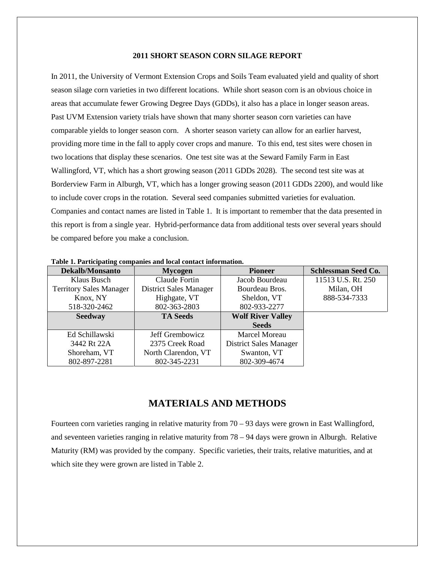#### **2011 SHORT SEASON CORN SILAGE REPORT**

In 2011, the University of Vermont Extension Crops and Soils Team evaluated yield and quality of short season silage corn varieties in two different locations. While short season corn is an obvious choice in areas that accumulate fewer Growing Degree Days (GDDs), it also has a place in longer season areas. Past UVM Extension variety trials have shown that many shorter season corn varieties can have comparable yields to longer season corn. A shorter season variety can allow for an earlier harvest, providing more time in the fall to apply cover crops and manure. To this end, test sites were chosen in two locations that display these scenarios. One test site was at the Seward Family Farm in East Wallingford, VT, which has a short growing season (2011 GDDs 2028). The second test site was at Borderview Farm in Alburgh, VT, which has a longer growing season (2011 GDDs 2200), and would like to include cover crops in the rotation. Several seed companies submitted varieties for evaluation. Companies and contact names are listed in Table 1. It is important to remember that the data presented in this report is from a single year. Hybrid-performance data from additional tests over several years should be compared before you make a conclusion.

| <b>Dekalb/Monsanto</b>         | <b>Mycogen</b>         | <b>Pioneer</b>                | <b>Schlessman Seed Co.</b> |
|--------------------------------|------------------------|-------------------------------|----------------------------|
| Klaus Busch                    | Claude Fortin          | Jacob Bourdeau                | 11513 U.S. Rt. 250         |
| <b>Territory Sales Manager</b> | District Sales Manager | Bourdeau Bros.                | Milan, OH                  |
| Knox, NY                       | Highgate, VT           | Sheldon, VT                   | 888-534-7333               |
| 518-320-2462                   | 802-363-2803           | 802-933-2277                  |                            |
| <b>Seedway</b>                 | <b>TA Seeds</b>        | <b>Wolf River Valley</b>      |                            |
|                                |                        | <b>Seeds</b>                  |                            |
| Ed Schillawski                 | Jeff Grembowicz        | <b>Marcel Moreau</b>          |                            |
| 3442 Rt 22A                    | 2375 Creek Road        | <b>District Sales Manager</b> |                            |
| Shoreham, VT                   | North Clarendon, VT    | Swanton, VT                   |                            |
| 802-897-2281                   | 802-345-2231           | 802-309-4674                  |                            |

**Table 1. Participating companies and local contact information.**

# **MATERIALS AND METHODS**

Fourteen corn varieties ranging in relative maturity from 70 – 93 days were grown in East Wallingford, and seventeen varieties ranging in relative maturity from 78 – 94 days were grown in Alburgh. Relative Maturity (RM) was provided by the company. Specific varieties, their traits, relative maturities, and at which site they were grown are listed in Table 2.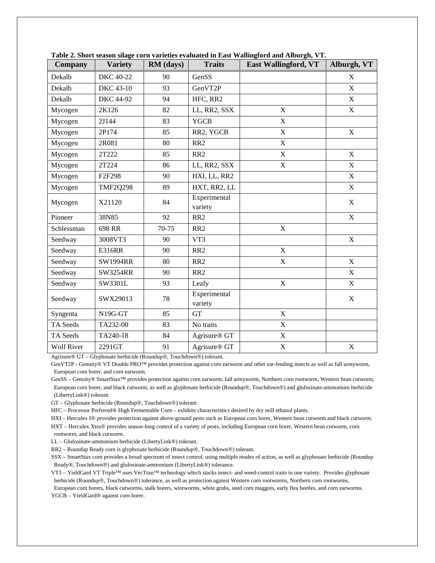| Company           | <b>Variety</b>   | RM (days) | <b>Traits</b>            | <b>East Wallingford, VT</b> | Alburgh, VT  |
|-------------------|------------------|-----------|--------------------------|-----------------------------|--------------|
| Dekalb            | DKC 40-22        | 90        | GenSS                    |                             | $\mathbf X$  |
| Dekalb            | DKC 43-10        | 93        | GenVT2P                  |                             | $\mathbf X$  |
| Dekalb            | <b>DKC</b> 44-92 | 94        | HFC, RR2                 |                             | $\mathbf X$  |
| Mycogen           | 2K126            | 82        | LL, RR2, SSX             | $\mathbf{X}$                | $\mathbf X$  |
| Mycogen           | 2J144            | 83        | <b>YGCB</b>              | $\mathbf X$                 |              |
| Mycogen           | 2P174            | 85        | RR2, YGCB                | $\mathbf X$                 | $\mathbf X$  |
| Mycogen           | 2R081            | 80        | RR <sub>2</sub>          | $\mathbf X$                 |              |
| Mycogen           | 2T222            | 85        | RR <sub>2</sub>          | X                           | $\mathbf X$  |
| Mycogen           | 2T224            | 86        | LL, RR2, SSX             | X                           | $\mathbf X$  |
| Mycogen           | F2F298           | 90        | HXI, LL, RR2             |                             | $\mathbf{X}$ |
| Mycogen           | <b>TMF2Q298</b>  | 89        | HXT, RR2, LL             |                             | $\mathbf X$  |
| Mycogen           | X21120           | 84        | Experimental<br>variety  |                             | $\mathbf X$  |
| Pioneer           | 38N85            | 92        | RR <sub>2</sub>          |                             | $\mathbf X$  |
| Schlessman        | 698 RR           | 70-75     | RR <sub>2</sub>          | $\mathbf X$                 |              |
| Seedway           | 3008VT3          | 90        | VT3                      |                             | $\mathbf X$  |
| Seedway           | E316RR           | 90        | RR <sub>2</sub>          | $\mathbf X$                 |              |
| Seedway           | <b>SW1994RR</b>  | 80        | RR <sub>2</sub>          | $\mathbf X$                 | $\mathbf X$  |
| Seedway           | <b>SW3254RR</b>  | 90        | RR <sub>2</sub>          |                             | $\mathbf X$  |
| Seedway           | SW3301L          | 93        | Leafy                    | $\mathbf X$                 | $\mathbf X$  |
| Seedway           | SWX29013         | 78        | Experimental<br>variety  |                             | X            |
| Syngenta          | N19G-GT          | 85        | <b>GT</b>                | $\mathbf X$                 |              |
| TA Seeds          | TA232-00         | 83        | No traits                | $\mathbf X$                 |              |
| TA Seeds          | TA240-18         | 84        | Agrisure® GT             | $\mathbf X$                 |              |
| <b>Wolf River</b> | 2291GT           | 91        | Agrisure <sup>®</sup> GT | $\mathbf X$                 | $\mathbf X$  |

**Table 2. Short season silage corn varieties evaluated in East Wallingford and Alburgh, VT.**

Agrisure® GT – Glyphosate herbicide (Roundup®, Touchdown®) tolerant.

GenVT2P - Genuity® VT Double PRO™ provides protection against corn earworm and other ear-feeding insects as well as fall armyworm, European corn borer, and corn earworm.

GenSS – Genuity® SmartStax™ provides protection against corn earworm, fall armyworm, Northern corn rootworm, Western bean cutworm, European corn borer, and black cutworm, as well as glyphosate herbicide (Roundup®, Touchdown®) and glufosinate-ammonium herbicide (LibertyLink®) tolerant.

GT - Glyphosate herbicide (Roundup®, Touchdown®) tolerant.

HFC – Processor Preferred® High Fermentable Corn – exhibits characteristics desired by dry mill ethanol plants.

HXI – Herculex I® provides protection against above-ground pests such as European corn borer, Western bean cutworm and black cutworm.

HXT – Herculex Xtra® provides season-long control of a variety of pests, including European corn borer, Western bean cutworm, corn rootworm, and black cutworm.

LL – Glufosinate-ammonium herbicide (LibertyLink®) tolerant.

RR2 – Roundup Ready corn is glyphosate herbicide (Roundup®, Touchdown®) tolerant.

SSX – SmartStax corn provides a broad spectrum of insect control, using multiple modes of action, as well as glyphosate herbicide (Roundup Ready®, Touchdown®) and glufosinate-ammonium (LibertyLink®) tolerance.

VT3 – YieldGard VT Triple™ uses VecTran™ technology which stacks insect- and weed-control traits in one variety. Provides glyphosate herbicide (Roundup®, Touchdown®) tolerance, as well as protection against Western corn rootworms, Northern corn rootworms,

 European corn borers, black cutworms, stalk borers, wireworms, white grubs, seed corn maggots, early flea beetles, and corn earworms. YGCB – YieldGard® against corn borer.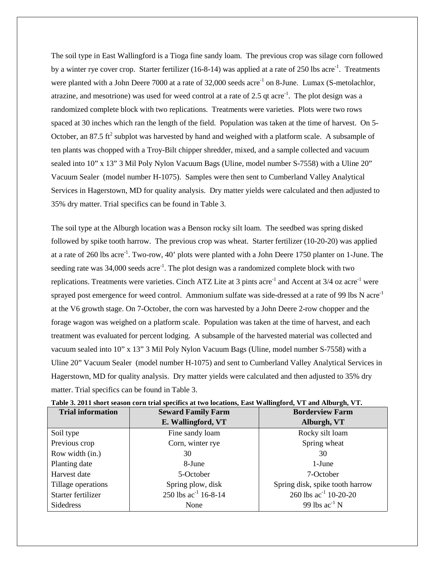The soil type in East Wallingford is a Tioga fine sandy loam. The previous crop was silage corn followed by a winter rye cover crop. Starter fertilizer (16-8-14) was applied at a rate of 250 lbs acre<sup>-1</sup>. Treatments were planted with a John Deere 7000 at a rate of 32,000 seeds acre<sup>-1</sup> on 8-June. Lumax (S-metolachlor, atrazine, and mesotrione) was used for weed control at a rate of 2.5 qt acre<sup>-1</sup>. The plot design was a randomized complete block with two replications. Treatments were varieties. Plots were two rows spaced at 30 inches which ran the length of the field. Population was taken at the time of harvest. On 5- October, an 87.5 ft<sup>2</sup> subplot was harvested by hand and weighed with a platform scale. A subsample of ten plants was chopped with a Troy-Bilt chipper shredder, mixed, and a sample collected and vacuum sealed into 10" x 13" 3 Mil Poly Nylon Vacuum Bags (Uline, model number S-7558) with a Uline 20" Vacuum Sealer (model number H-1075). Samples were then sent to Cumberland Valley Analytical Services in Hagerstown, MD for quality analysis. Dry matter yields were calculated and then adjusted to 35% dry matter. Trial specifics can be found in Table 3.

The soil type at the Alburgh location was a Benson rocky silt loam. The seedbed was spring disked followed by spike tooth harrow. The previous crop was wheat. Starter fertilizer (10-20-20) was applied at a rate of 260 lbs acre<sup>-1</sup>. Two-row, 40' plots were planted with a John Deere 1750 planter on 1-June. The seeding rate was  $34,000$  seeds acre<sup>-1</sup>. The plot design was a randomized complete block with two replications. Treatments were varieties. Cinch ATZ Lite at 3 pints acre<sup>-1</sup> and Accent at  $3/4$  oz acre<sup>-1</sup> were sprayed post emergence for weed control. Ammonium sulfate was side-dressed at a rate of 99 lbs N acre<sup>-1</sup> at the V6 growth stage. On 7-October, the corn was harvested by a John Deere 2-row chopper and the forage wagon was weighed on a platform scale. Population was taken at the time of harvest, and each treatment was evaluated for percent lodging. A subsample of the harvested material was collected and vacuum sealed into 10" x 13" 3 Mil Poly Nylon Vacuum Bags (Uline, model number S-7558) with a Uline 20" Vacuum Sealer (model number H-1075) and sent to Cumberland Valley Analytical Services in Hagerstown, MD for quality analysis. Dry matter yields were calculated and then adjusted to 35% dry matter. Trial specifics can be found in Table 3.

| <b>Trial information</b> | <b>Seward Family Farm</b> | <b>Borderview Farm</b>          |
|--------------------------|---------------------------|---------------------------------|
|                          | E. Wallingford, VT        | Alburgh, VT                     |
| Soil type                | Fine sandy loam           | Rocky silt loam                 |
| Previous crop            | Corn, winter rye          | Spring wheat                    |
| Row width (in.)          | 30                        | 30                              |
| Planting date            | 8-June                    | 1-June                          |
| Harvest date             | 5-October                 | 7-October                       |
| Tillage operations       | Spring plow, disk         | Spring disk, spike tooth harrow |
| Starter fertilizer       | 250 lbs $ac^{-1}$ 16-8-14 | 260 lbs $ac^{-1}$ 10-20-20      |
| Sidedress                | None                      | 99 lbs $ac^{-1}N$               |

| Table 3. 2011 short season corn trial specifics at two locations, East Wallingford, VT and Alburgh, VT. |  |  |
|---------------------------------------------------------------------------------------------------------|--|--|
|                                                                                                         |  |  |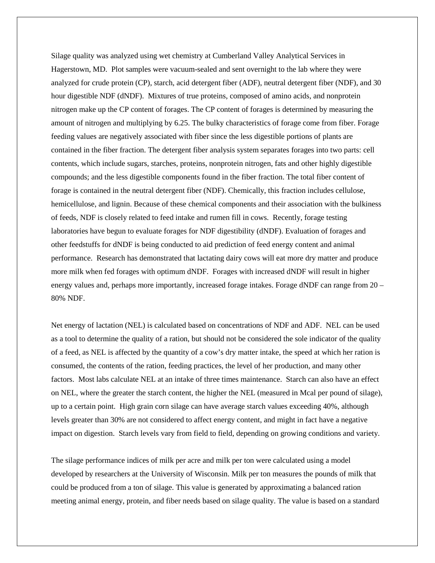Silage quality was analyzed using wet chemistry at Cumberland Valley Analytical Services in Hagerstown, MD. Plot samples were vacuum-sealed and sent overnight to the lab where they were analyzed for crude protein (CP), starch, acid detergent fiber (ADF), neutral detergent fiber (NDF), and 30 hour digestible NDF (dNDF). Mixtures of true proteins, composed of amino acids, and nonprotein nitrogen make up the CP content of forages. The CP content of forages is determined by measuring the amount of nitrogen and multiplying by 6.25. The bulky characteristics of forage come from fiber. Forage feeding values are negatively associated with fiber since the less digestible portions of plants are contained in the fiber fraction. The detergent fiber analysis system separates forages into two parts: cell contents, which include sugars, starches, proteins, nonprotein nitrogen, fats and other highly digestible compounds; and the less digestible components found in the fiber fraction. The total fiber content of forage is contained in the neutral detergent fiber (NDF). Chemically, this fraction includes cellulose, hemicellulose, and lignin. Because of these chemical components and their association with the bulkiness of feeds, NDF is closely related to feed intake and rumen fill in cows. Recently, forage testing laboratories have begun to evaluate forages for NDF digestibility (dNDF). Evaluation of forages and other feedstuffs for dNDF is being conducted to aid prediction of feed energy content and animal performance. Research has demonstrated that lactating dairy cows will eat more dry matter and produce more milk when fed forages with optimum dNDF. Forages with increased dNDF will result in higher energy values and, perhaps more importantly, increased forage intakes. Forage dNDF can range from 20 – 80% NDF.

Net energy of lactation (NEL) is calculated based on concentrations of NDF and ADF. NEL can be used as a tool to determine the quality of a ration, but should not be considered the sole indicator of the quality of a feed, as NEL is affected by the quantity of a cow's dry matter intake, the speed at which her ration is consumed, the contents of the ration, feeding practices, the level of her production, and many other factors. Most labs calculate NEL at an intake of three times maintenance. Starch can also have an effect on NEL, where the greater the starch content, the higher the NEL (measured in Mcal per pound of silage), up to a certain point. High grain corn silage can have average starch values exceeding 40%, although levels greater than 30% are not considered to affect energy content, and might in fact have a negative impact on digestion. Starch levels vary from field to field, depending on growing conditions and variety.

The silage performance indices of milk per acre and milk per ton were calculated using a model developed by researchers at the University of Wisconsin. Milk per ton measures the pounds of milk that could be produced from a ton of silage. This value is generated by approximating a balanced ration meeting animal energy, protein, and fiber needs based on silage quality. The value is based on a standard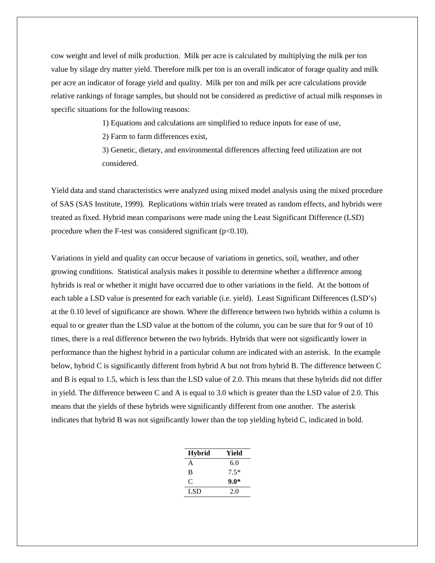cow weight and level of milk production. Milk per acre is calculated by multiplying the milk per ton value by silage dry matter yield. Therefore milk per ton is an overall indicator of forage quality and milk per acre an indicator of forage yield and quality. Milk per ton and milk per acre calculations provide relative rankings of forage samples, but should not be considered as predictive of actual milk responses in specific situations for the following reasons:

1) Equations and calculations are simplified to reduce inputs for ease of use,

2) Farm to farm differences exist,

3) Genetic, dietary, and environmental differences affecting feed utilization are not considered.

Yield data and stand characteristics were analyzed using mixed model analysis using the mixed procedure of SAS (SAS Institute, 1999). Replications within trials were treated as random effects, and hybrids were treated as fixed. Hybrid mean comparisons were made using the Least Significant Difference (LSD) procedure when the F-test was considered significant  $(p<0.10)$ .

Variations in yield and quality can occur because of variations in genetics, soil, weather, and other growing conditions. Statistical analysis makes it possible to determine whether a difference among hybrids is real or whether it might have occurred due to other variations in the field. At the bottom of each table a LSD value is presented for each variable (i.e. yield). Least Significant Differences (LSD's) at the 0.10 level of significance are shown. Where the difference between two hybrids within a column is equal to or greater than the LSD value at the bottom of the column, you can be sure that for 9 out of 10 times, there is a real difference between the two hybrids. Hybrids that were not significantly lower in performance than the highest hybrid in a particular column are indicated with an asterisk. In the example below, hybrid C is significantly different from hybrid A but not from hybrid B. The difference between C and B is equal to 1.5, which is less than the LSD value of 2.0. This means that these hybrids did not differ in yield. The difference between C and A is equal to 3.0 which is greater than the LSD value of 2.0. This means that the yields of these hybrids were significantly different from one another. The asterisk indicates that hybrid B was not significantly lower than the top yielding hybrid C, indicated in bold.

| <b>Hybrid</b> | Yield  |
|---------------|--------|
| A             | 6.0    |
| R             | $7.5*$ |
| C             | $9.0*$ |
| LSD.          | 2.0    |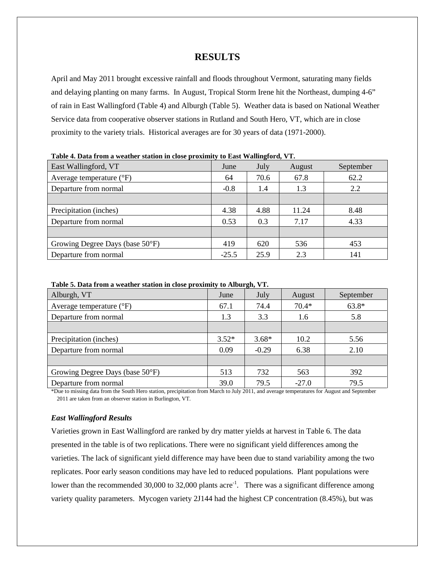## **RESULTS**

April and May 2011 brought excessive rainfall and floods throughout Vermont, saturating many fields and delaying planting on many farms. In August, Tropical Storm Irene hit the Northeast, dumping 4-6" of rain in East Wallingford (Table 4) and Alburgh (Table 5). Weather data is based on National Weather Service data from cooperative observer stations in Rutland and South Hero, VT, which are in close proximity to the variety trials. Historical averages are for 30 years of data (1971-2000).

| East Wallingford, VT              | June    | July | August | September |  |  |  |  |
|-----------------------------------|---------|------|--------|-----------|--|--|--|--|
| Average temperature $(^{\circ}F)$ | 64      | 70.6 | 67.8   | 62.2      |  |  |  |  |
| Departure from normal             | $-0.8$  | 1.4  | 1.3    | 2.2       |  |  |  |  |
|                                   |         |      |        |           |  |  |  |  |
| Precipitation (inches)            | 4.38    | 4.88 | 11.24  | 8.48      |  |  |  |  |
| Departure from normal             | 0.53    | 0.3  | 7.17   | 4.33      |  |  |  |  |
|                                   |         |      |        |           |  |  |  |  |
| Growing Degree Days (base 50°F)   | 419     | 620  | 536    | 453       |  |  |  |  |
| Departure from normal             | $-25.5$ | 25.9 | 2.3    | 141       |  |  |  |  |

**Table 4. Data from a weather station in close proximity to East Wallingford, VT.**

| Table 5. Data from a weather station in close proximity to Alburgh, VT. |  |  |
|-------------------------------------------------------------------------|--|--|
|-------------------------------------------------------------------------|--|--|

|                                   |         | $\sim$  |         |           |
|-----------------------------------|---------|---------|---------|-----------|
| Alburgh, VT                       | June    | July    | August  | September |
| Average temperature $(^{\circ}F)$ | 67.1    | 74.4    | $70.4*$ | $63.8*$   |
| Departure from normal             | 1.3     | 3.3     | 1.6     | 5.8       |
|                                   |         |         |         |           |
| Precipitation (inches)            | $3.52*$ | $3.68*$ | 10.2    | 5.56      |
| Departure from normal             | 0.09    | $-0.29$ | 6.38    | 2.10      |
|                                   |         |         |         |           |
| Growing Degree Days (base 50°F)   | 513     | 732     | 563     | 392       |
| Departure from normal             | 39.0    | 79.5    | $-27.0$ | 79.5      |

\*Due to missing data from the South Hero station, precipitation from March to July 2011, and average temperatures for August and September 2011 are taken from an observer station in Burlington, VT.

### *East Wallingford Results*

Varieties grown in East Wallingford are ranked by dry matter yields at harvest in Table 6. The data presented in the table is of two replications. There were no significant yield differences among the varieties. The lack of significant yield difference may have been due to stand variability among the two replicates. Poor early season conditions may have led to reduced populations. Plant populations were lower than the recommended 30,000 to 32,000 plants acre<sup>-1</sup>. There was a significant difference among variety quality parameters. Mycogen variety 2J144 had the highest CP concentration (8.45%), but was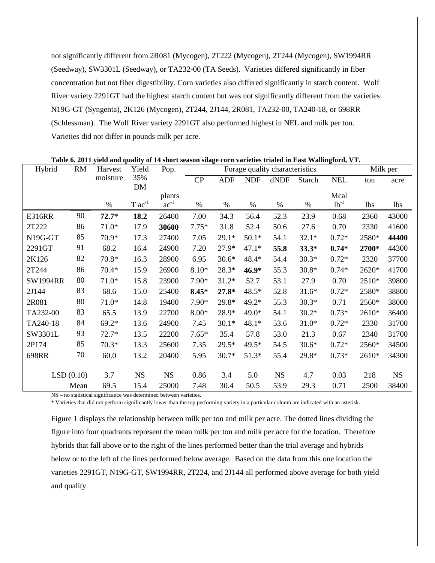not significantly different from 2R081 (Mycogen), 2T222 (Mycogen), 2T244 (Mycogen), SW1994RR (Seedway), SW3301L (Seedway), or TA232-00 (TA Seeds). Varieties differed significantly in fiber concentration but not fiber digestibility. Corn varieties also differed significantly in starch content. Wolf River variety 2291GT had the highest starch content but was not significantly different from the varieties N19G-GT (Syngenta), 2K126 (Mycogen), 2T244, 2J144, 2R081, TA232-00, TA240-18, or 698RR (Schlessman). The Wolf River variety 2291GT also performed highest in NEL and milk per ton. Varieties did not differ in pounds milk per acre.

| Hybrid          | RM   | Harvest  | Yield                | Pop.<br>Forage quality characteristics |         |            |            |           |               |            | Milk per   |            |
|-----------------|------|----------|----------------------|----------------------------------------|---------|------------|------------|-----------|---------------|------------|------------|------------|
|                 |      | moisture | 35%                  |                                        | CP      | <b>ADF</b> | <b>NDF</b> | dNDF      | <b>Starch</b> | <b>NEL</b> | ton        | acre       |
|                 |      |          | DM                   | plants                                 |         |            |            |           |               | Mcal       |            |            |
|                 |      | $\%$     | $T$ ac <sup>-1</sup> | $ac^{-1}$                              | $\%$    | $\%$       | $\%$       | $\%$      | $\%$          | $1b^{-1}$  | <b>lbs</b> | <b>lbs</b> |
| <b>E316RR</b>   | 90   | $72.7*$  | 18.2                 | 26400                                  | 7.00    | 34.3       | 56.4       | 52.3      | 23.9          | 0.68       | 2360       | 43000      |
| 2T222           | 86   | $71.0*$  | 17.9                 | 30600                                  | $7.75*$ | 31.8       | 52.4       | 50.6      | 27.6          | 0.70       | 2330       | 41600      |
| N19G-GT         | 85   | 70.9*    | 17.3                 | 27400                                  | 7.05    | 29.1*      | $50.1*$    | 54.1      | $32.1*$       | $0.72*$    | 2580*      | 44400      |
| 2291GT          | 91   | 68.2     | 16.4                 | 24900                                  | 7.20    | 27.9*      | $47.1*$    | 55.8      | $33.3*$       | $0.74*$    | 2700*      | 44300      |
| 2K126           | 82   | $70.8*$  | 16.3                 | 28900                                  | 6.95    | $30.6*$    | 48.4*      | 54.4      | $30.3*$       | $0.72*$    | 2320       | 37700      |
| 2T244           | 86   | $70.4*$  | 15.9                 | 26900                                  | $8.10*$ | 28.3*      | 46.9*      | 55.3      | $30.8*$       | $0.74*$    | 2620*      | 41700      |
| <b>SW1994RR</b> | 80   | $71.0*$  | 15.8                 | 23900                                  | 7.90*   | 31.2*      | 52.7       | 53.1      | 27.9          | 0.70       | 2510*      | 39800      |
| 2J144           | 83   | 68.6     | 15.0                 | 25400                                  | $8.45*$ | $27.8*$    | $48.5*$    | 52.8      | $31.6*$       | $0.72*$    | 2580*      | 38800      |
| 2R081           | 80   | $71.0*$  | 14.8                 | 19400                                  | 7.90*   | 29.8*      | 49.2*      | 55.3      | $30.3*$       | 0.71       | 2560*      | 38000      |
| TA232-00        | 83   | 65.5     | 13.9                 | 22700                                  | $8.00*$ | 28.9*      | 49.0*      | 54.1      | $30.2*$       | $0.73*$    | 2610*      | 36400      |
| TA240-18        | 84   | $69.2*$  | 13.6                 | 24900                                  | 7.45    | $30.1*$    | $48.1*$    | 53.6      | $31.0*$       | $0.72*$    | 2330       | 31700      |
| SW3301L         | 93   | $72.7*$  | 13.5                 | 22200                                  | $7.65*$ | 35.4       | 57.8       | 53.0      | 21.3          | 0.67       | 2340       | 31700      |
| 2P174           | 85   | $70.3*$  | 13.3                 | 25600                                  | 7.35    | $29.5*$    | 49.5*      | 54.5      | $30.6*$       | $0.72*$    | 2560*      | 34500      |
| 698RR           | 70   | 60.0     | 13.2                 | 20400                                  | 5.95    | 30.7*      | $51.3*$    | 55.4      | 29.8*         | $0.73*$    | 2610*      | 34300      |
| LSD(0.10)       |      | 3.7      | <b>NS</b>            | <b>NS</b>                              | 0.86    | 3.4        | 5.0        | <b>NS</b> | 4.7           | 0.03       | 218        | <b>NS</b>  |
|                 | Mean | 69.5     | 15.4                 | 25000                                  | 7.48    | 30.4       | 50.5       | 53.9      | 29.3          | 0.71       | 2500       | 38400      |

**Table 6. 2011 yield and quality of 14 short season silage corn varieties trialed in East Wallingford, VT.**

NS – no statistical significance was determined between varieties.

\* Varieties that did not perform significantly lower than the top performing variety in a particular column are indicated with an asterisk.

Figure 1 displays the relationship between milk per ton and milk per acre. The dotted lines dividing the figure into four quadrants represent the mean milk per ton and milk per acre for the location. Therefore hybrids that fall above or to the right of the lines performed better than the trial average and hybrids below or to the left of the lines performed below average. Based on the data from this one location the varieties 2291GT, N19G-GT, SW1994RR, 2T224, and 2J144 all performed above average for both yield and quality.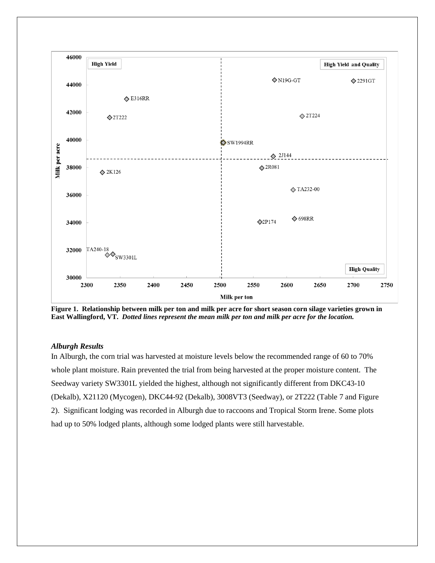

**Figure 1. Relationship between milk per ton and milk per acre for short season corn silage varieties grown in East Wallingford, VT.** *Dotted lines represent the mean milk per ton and milk per acre for the location.*

### *Alburgh Results*

In Alburgh, the corn trial was harvested at moisture levels below the recommended range of 60 to 70% whole plant moisture. Rain prevented the trial from being harvested at the proper moisture content. The Seedway variety SW3301L yielded the highest, although not significantly different from DKC43-10 (Dekalb), X21120 (Mycogen), DKC44-92 (Dekalb), 3008VT3 (Seedway), or 2T222 (Table 7 and Figure 2). Significant lodging was recorded in Alburgh due to raccoons and Tropical Storm Irene. Some plots had up to 50% lodged plants, although some lodged plants were still harvestable.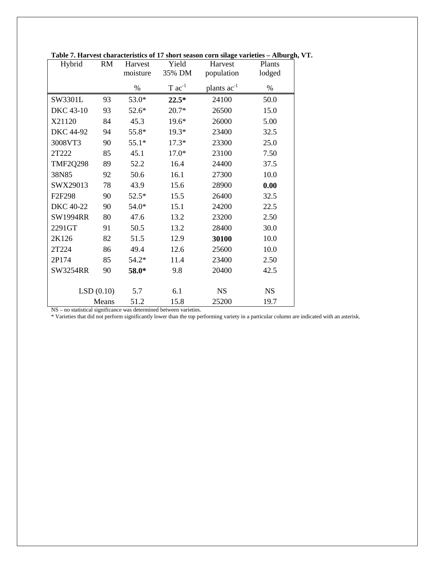| Hybrid                                                          | <b>RM</b> | Harvest  | Yield                | Harvest          | Plants    |
|-----------------------------------------------------------------|-----------|----------|----------------------|------------------|-----------|
|                                                                 |           | moisture | 35% DM               | population       | lodged    |
|                                                                 |           | $\%$     | $T$ ac <sup>-1</sup> | plants $ac^{-1}$ | $\%$      |
| SW3301L                                                         | 93        | 53.0*    | $22.5*$              | 24100            | 50.0      |
| <b>DKC</b> 43-10                                                | 93        | 52.6*    | $20.7*$              | 26500            | 15.0      |
| X21120                                                          | 84        | 45.3     | 19.6*                | 26000            | 5.00      |
| <b>DKC 44-92</b>                                                | 94        | 55.8*    | $19.3*$              | 23400            | 32.5      |
| 3008VT3                                                         | 90        | $55.1*$  | $17.3*$              | 23300            | 25.0      |
| 2T222                                                           | 85        | 45.1     | $17.0*$              | 23100            | 7.50      |
| <b>TMF2Q298</b>                                                 | 89        | 52.2     | 16.4                 | 24400            | 37.5      |
| 38N85                                                           | 92        | 50.6     | 16.1                 | 27300            | 10.0      |
| SWX29013                                                        | 78        | 43.9     | 15.6                 | 28900            | 0.00      |
| F2F298                                                          | 90        | $52.5*$  | 15.5                 | 26400            | 32.5      |
| DKC 40-22                                                       | 90        | 54.0*    | 15.1                 | 24200            | 22.5      |
| <b>SW1994RR</b>                                                 | 80        | 47.6     | 13.2                 | 23200            | 2.50      |
| 2291GT                                                          | 91        | 50.5     | 13.2                 | 28400            | 30.0      |
| 2K126                                                           | 82        | 51.5     | 12.9                 | 30100            | 10.0      |
| 2T224                                                           | 86        | 49.4     | 12.6                 | 25600            | 10.0      |
| 2P174                                                           | 85        | $54.2*$  | 11.4                 | 23400            | 2.50      |
| <b>SW3254RR</b>                                                 | 90        | 58.0*    | 9.8                  | 20400            | 42.5      |
|                                                                 |           |          |                      |                  |           |
|                                                                 | LSD(0.10) | 5.7      | 6.1                  | <b>NS</b>        | <b>NS</b> |
| NS no statistical significance was determined between variaties | Means     | 51.2     | 15.8                 | 25200            | 19.7      |

**Table 7. Harvest characteristics of 17 short season corn silage varieties – Alburgh, VT.**

NS – no statistical significance was determined between varieties.

\* Varieties that did not perform significantly lower than the top performing variety in a particular column are indicated with an asterisk.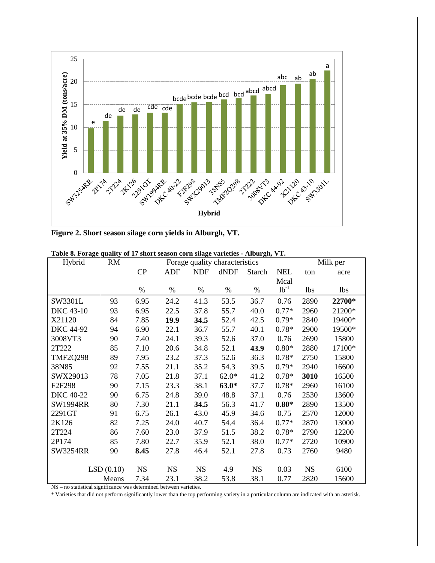

**Figure 2. Short season silage corn yields in Alburgh, VT.**

| Hybrid           | <b>RM</b> | Forage quality characteristics |           |            |         |           |            | Milk per   |            |
|------------------|-----------|--------------------------------|-----------|------------|---------|-----------|------------|------------|------------|
|                  |           | CP                             | ADF       | <b>NDF</b> | dNDF    | Starch    | <b>NEL</b> | ton        | acre       |
|                  |           |                                |           |            |         |           | Mcal       |            |            |
|                  |           | %                              | %         | $\%$       | %       | $\%$      | $1b^{-1}$  | <b>lbs</b> | <b>lbs</b> |
| SW3301L          | 93        | 6.95                           | 24.2      | 41.3       | 53.5    | 36.7      | 0.76       | 2890       | 22700*     |
| <b>DKC</b> 43-10 | 93        | 6.95                           | 22.5      | 37.8       | 55.7    | 40.0      | $0.77*$    | 2960       | 21200*     |
| X21120           | 84        | 7.85                           | 19.9      | 34.5       | 52.4    | 42.5      | $0.79*$    | 2840       | 19400*     |
| DKC 44-92        | 94        | 6.90                           | 22.1      | 36.7       | 55.7    | 40.1      | $0.78*$    | 2900       | 19500*     |
| 3008VT3          | 90        | 7.40                           | 24.1      | 39.3       | 52.6    | 37.0      | 0.76       | 2690       | 15800      |
| 2T222            | 85        | 7.10                           | 20.6      | 34.8       | 52.1    | 43.9      | $0.80*$    | 2880       | 17100*     |
| <b>TMF2Q298</b>  | 89        | 7.95                           | 23.2      | 37.3       | 52.6    | 36.3      | $0.78*$    | 2750       | 15800      |
| 38N85            | 92        | 7.55                           | 21.1      | 35.2       | 54.3    | 39.5      | $0.79*$    | 2940       | 16600      |
| SWX29013         | 78        | 7.05                           | 21.8      | 37.1       | $62.0*$ | 41.2      | $0.78*$    | 3010       | 16500      |
| F2F298           | 90        | 7.15                           | 23.3      | 38.1       | $63.0*$ | 37.7      | $0.78*$    | 2960       | 16100      |
| DKC 40-22        | 90        | 6.75                           | 24.8      | 39.0       | 48.8    | 37.1      | 0.76       | 2530       | 13600      |
| <b>SW1994RR</b>  | 80        | 7.30                           | 21.1      | 34.5       | 56.3    | 41.7      | $0.80*$    | 2890       | 13500      |
| 2291GT           | 91        | 6.75                           | 26.1      | 43.0       | 45.9    | 34.6      | 0.75       | 2570       | 12000      |
| 2K126            | 82        | 7.25                           | 24.0      | 40.7       | 54.4    | 36.4      | $0.77*$    | 2870       | 13000      |
| 2T224            | 86        | 7.60                           | 23.0      | 37.9       | 51.5    | 38.2      | $0.78*$    | 2790       | 12200      |
| 2P174            | 85        | 7.80                           | 22.7      | 35.9       | 52.1    | 38.0      | $0.77*$    | 2720       | 10900      |
| <b>SW3254RR</b>  | 90        | 8.45                           | 27.8      | 46.4       | 52.1    | 27.8      | 0.73       | 2760       | 9480       |
|                  |           |                                |           |            |         |           |            |            |            |
|                  | LSD(0.10) | <b>NS</b>                      | <b>NS</b> | <b>NS</b>  | 4.9     | <b>NS</b> | 0.03       | <b>NS</b>  | 6100       |
|                  | Means     | 7.34                           | 23.1      | 38.2       | 53.8    | 38.1      | 0.77       | 2820       | 15600      |

**Table 8. Forage quality of 17 short season corn silage varieties - Alburgh, VT.**

NS – no statistical significance was determined between varieties.

\* Varieties that did not perform significantly lower than the top performing variety in a particular column are indicated with an asterisk.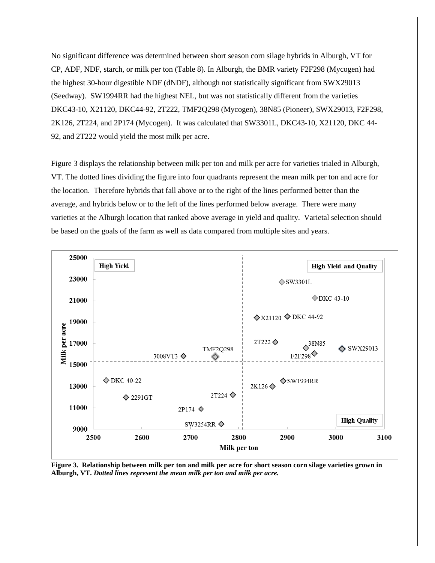No significant difference was determined between short season corn silage hybrids in Alburgh, VT for CP, ADF, NDF, starch, or milk per ton (Table 8). In Alburgh, the BMR variety F2F298 (Mycogen) had the highest 30-hour digestible NDF (dNDF), although not statistically significant from SWX29013 (Seedway). SW1994RR had the highest NEL, but was not statistically different from the varieties DKC43-10, X21120, DKC44-92, 2T222, TMF2Q298 (Mycogen), 38N85 (Pioneer), SWX29013, F2F298, 2K126, 2T224, and 2P174 (Mycogen). It was calculated that SW3301L, DKC43-10, X21120, DKC 44- 92, and 2T222 would yield the most milk per acre.

Figure 3 displays the relationship between milk per ton and milk per acre for varieties trialed in Alburgh, VT. The dotted lines dividing the figure into four quadrants represent the mean milk per ton and acre for the location. Therefore hybrids that fall above or to the right of the lines performed better than the average, and hybrids below or to the left of the lines performed below average. There were many varieties at the Alburgh location that ranked above average in yield and quality. Varietal selection should be based on the goals of the farm as well as data compared from multiple sites and years.



**Figure 3. Relationship between milk per ton and milk per acre for short season corn silage varieties grown in Alburgh, VT.** *Dotted lines represent the mean milk per ton and milk per acre.*